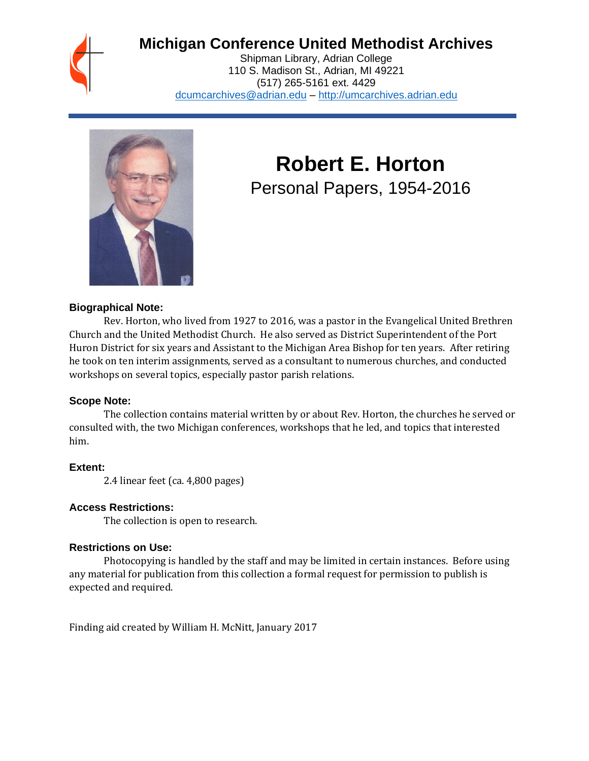## **Michigan Conference United Methodist Archives**

Shipman Library, Adrian College 110 S. Madison St., Adrian, MI 49221 (517) 265-5161 ext. 4429 [dcumcarchives@adrian.edu](mailto:dcumcarchives@adrian.edu) – [http://umcarchives.adrian.edu](http://umcarchives.adrian.edu/)



# **Robert E. Horton** Personal Papers, 1954-2016

#### **Biographical Note:**

Rev. Horton, who lived from 1927 to 2016, was a pastor in the Evangelical United Brethren Church and the United Methodist Church. He also served as District Superintendent of the Port Huron District for six years and Assistant to the Michigan Area Bishop for ten years. After retiring he took on ten interim assignments, served as a consultant to numerous churches, and conducted workshops on several topics, especially pastor parish relations.

#### **Scope Note:**

The collection contains material written by or about Rev. Horton, the churches he served or consulted with, the two Michigan conferences, workshops that he led, and topics that interested him.

### **Extent:**

2.4 linear feet (ca. 4,800 pages)

### **Access Restrictions:**

The collection is open to research.

### **Restrictions on Use:**

Photocopying is handled by the staff and may be limited in certain instances. Before using any material for publication from this collection a formal request for permission to publish is expected and required.

Finding aid created by William H. McNitt, January 2017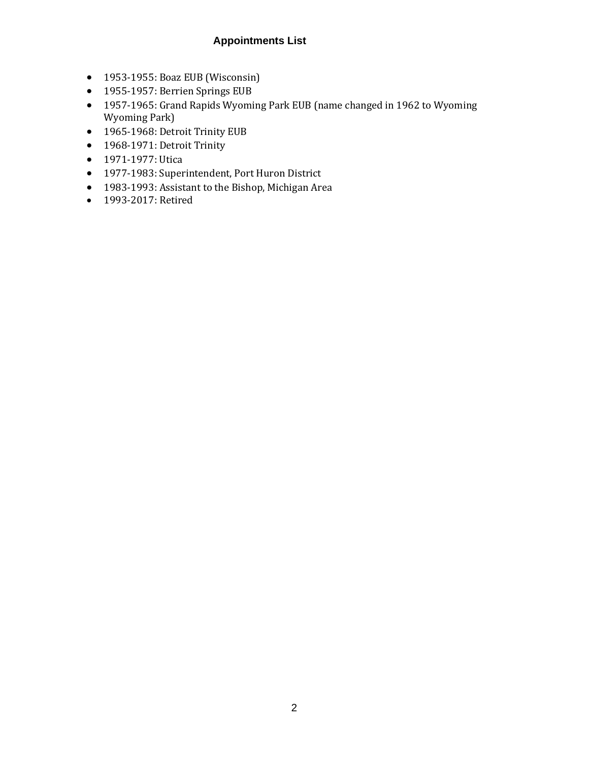### **Appointments List**

- 1953-1955: Boaz EUB (Wisconsin)
- 1955-1957: Berrien Springs EUB
- 1957-1965: Grand Rapids Wyoming Park EUB (name changed in 1962 to Wyoming Wyoming Park)
- 1965-1968: Detroit Trinity EUB
- 1968-1971: Detroit Trinity
- 1971-1977: Utica
- 1977-1983: Superintendent, Port Huron District
- 1983-1993: Assistant to the Bishop, Michigan Area
- 1993-2017: Retired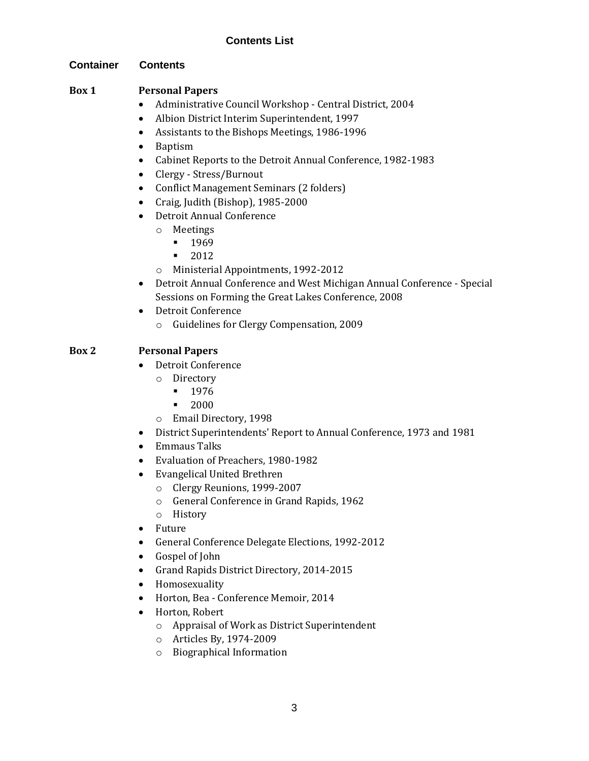### **Contents List**

#### **Container Contents**

#### **Box 1 Personal Papers**

- Administrative Council Workshop Central District, 2004
- Albion District Interim Superintendent, 1997
- Assistants to the Bishops Meetings, 1986-1996
- Baptism
- Cabinet Reports to the Detroit Annual Conference, 1982-1983
- Clergy Stress/Burnout
- Conflict Management Seminars (2 folders)
- Craig, Judith (Bishop), 1985-2000
- Detroit Annual Conference
	- o Meetings
		- **•** 1969
		- 2012
	- o Ministerial Appointments, 1992-2012
- Detroit Annual Conference and West Michigan Annual Conference Special Sessions on Forming the Great Lakes Conference, 2008
- Detroit Conference
	- o Guidelines for Clergy Compensation, 2009

#### **Box 2 Personal Papers**

- Detroit Conference
	- o Directory
		- 1976
		- 2000
	- o Email Directory, 1998
- District Superintendents' Report to Annual Conference, 1973 and 1981
- Emmaus Talks
- Evaluation of Preachers, 1980-1982
- Evangelical United Brethren
	- o Clergy Reunions, 1999-2007
	- o General Conference in Grand Rapids, 1962
	- o History
- Future
- General Conference Delegate Elections, 1992-2012
- Gospel of John
- Grand Rapids District Directory, 2014-2015
- Homosexuality
- Horton, Bea Conference Memoir, 2014
- Horton, Robert
	- o Appraisal of Work as District Superintendent
	- o Articles By, 1974-2009
	- o Biographical Information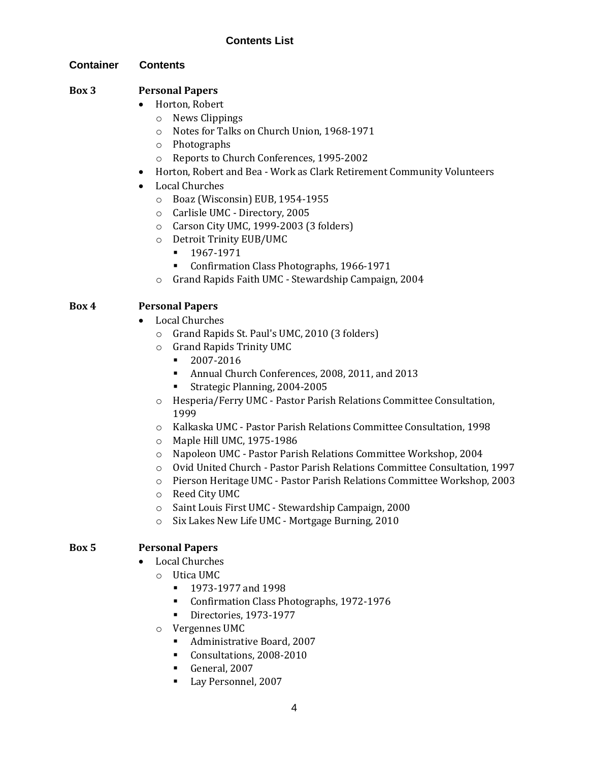### **Contents List**

#### **Container Contents**

### **Box 3 Personal Papers**

- Horton, Robert
	- o News Clippings
	- o Notes for Talks on Church Union, 1968-1971
	- o Photographs
	- o Reports to Church Conferences, 1995-2002
- Horton, Robert and Bea Work as Clark Retirement Community Volunteers
- Local Churches
	- o Boaz (Wisconsin) EUB, 1954-1955
	- o Carlisle UMC Directory, 2005
	- o Carson City UMC, 1999-2003 (3 folders)
	- o Detroit Trinity EUB/UMC
		- 1967-1971
		- Confirmation Class Photographs, 1966-1971
	- o Grand Rapids Faith UMC Stewardship Campaign, 2004

### **Box 4 Personal Papers**

- Local Churches
	- o Grand Rapids St. Paul's UMC, 2010 (3 folders)
	- o Grand Rapids Trinity UMC
		- 2007-2016
		- Annual Church Conferences, 2008, 2011, and 2013
		- Strategic Planning, 2004-2005
	- o Hesperia/Ferry UMC Pastor Parish Relations Committee Consultation, 1999
	- o Kalkaska UMC Pastor Parish Relations Committee Consultation, 1998
	- o Maple Hill UMC, 1975-1986
	- o Napoleon UMC Pastor Parish Relations Committee Workshop, 2004
	- o Ovid United Church Pastor Parish Relations Committee Consultation, 1997
	- o Pierson Heritage UMC Pastor Parish Relations Committee Workshop, 2003
	- o Reed City UMC
	- o Saint Louis First UMC Stewardship Campaign, 2000
	- o Six Lakes New Life UMC Mortgage Burning, 2010

#### **Box 5 Personal Papers**

- Local Churches
	- o Utica UMC
		- 1973-1977 and 1998
		- Confirmation Class Photographs, 1972-1976
		- Directories, 1973-1977
	- o Vergennes UMC
		- Administrative Board, 2007
		- Consultations, 2008-2010
		- General, 2007
		- Lay Personnel, 2007